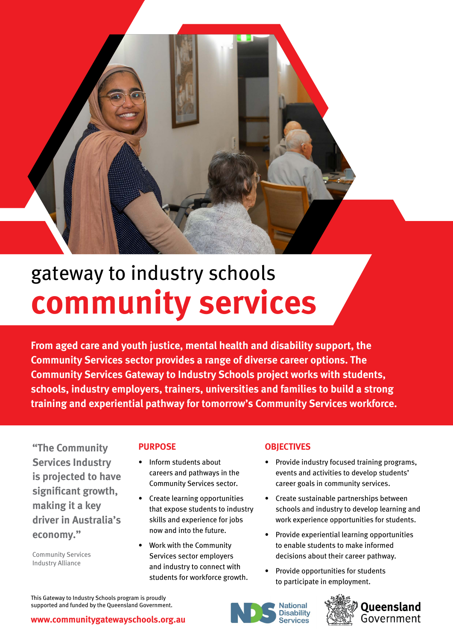

# gateway to industry schools **community services**

**From aged care and youth justice, mental health and disability support, the Community Services sector provides a range of diverse career options. The Community Services Gateway to Industry Schools project works with students, schools, industry employers, trainers, universities and families to build a strong training and experiential pathway for tomorrow's Community Services workforce.**

**"The Community Services Industry is projected to have significant growth, making it a key driver in Australia's economy."**

Community Services Industry Alliance

## **PURPOSE**

- Inform students about careers and pathways in the Community Services sector.
- Create learning opportunities that expose students to industry skills and experience for jobs now and into the future.
- Work with the Community Services sector employers and industry to connect with students for workforce growth.

## **OBJECTIVES**

- Provide industry focused training programs, events and activities to develop students' career goals in community services.
- Create sustainable partnerships between schools and industry to develop learning and work experience opportunities for students.
- Provide experiential learning opportunities to enable students to make informed decisions about their career pathway.
- Provide opportunities for students to participate in employment.

This Gateway to Industry Schools program is proudly supported and funded by the Queensland Government.





**[www.communitygatewayschools.org.au](https://www.communitygatewayschools.org.au/)**